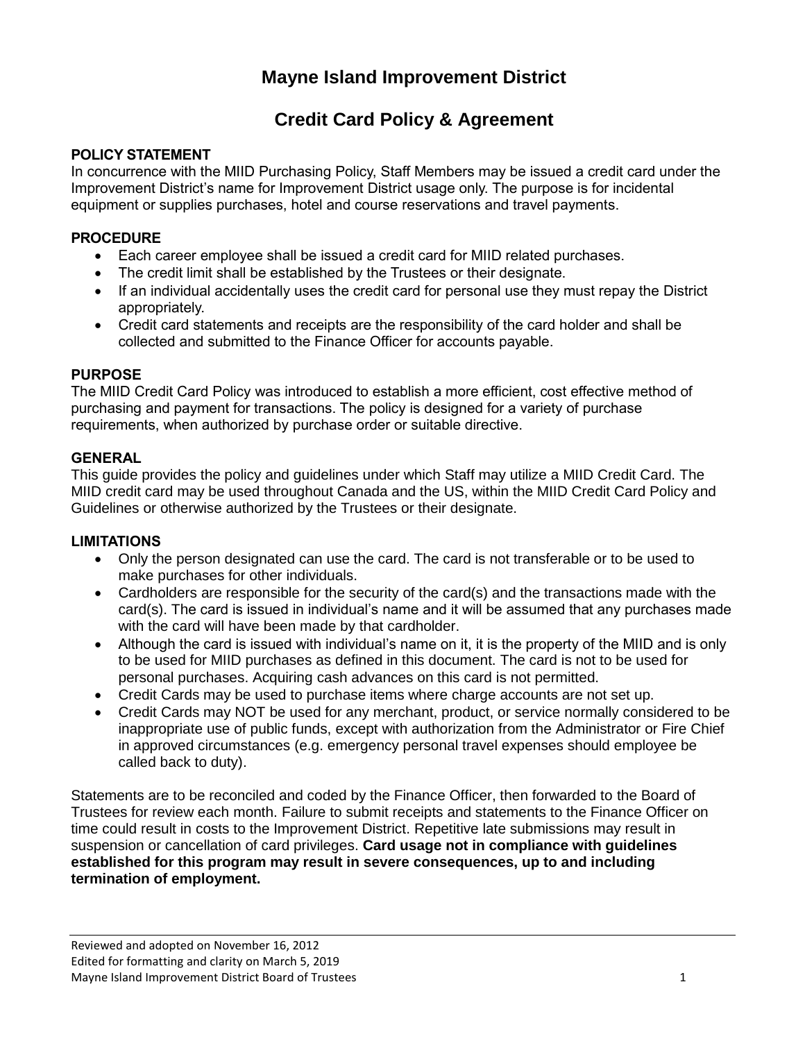# **Mayne Island Improvement District**

# **Credit Card Policy & Agreement**

## **POLICY STATEMENT**

In concurrence with the MIID Purchasing Policy, Staff Members may be issued a credit card under the Improvement District's name for Improvement District usage only. The purpose is for incidental equipment or supplies purchases, hotel and course reservations and travel payments.

## **PROCEDURE**

- Each career employee shall be issued a credit card for MIID related purchases.
- The credit limit shall be established by the Trustees or their designate.
- If an individual accidentally uses the credit card for personal use they must repay the District appropriately.
- Credit card statements and receipts are the responsibility of the card holder and shall be collected and submitted to the Finance Officer for accounts payable.

# **PURPOSE**

The MIID Credit Card Policy was introduced to establish a more efficient, cost effective method of purchasing and payment for transactions. The policy is designed for a variety of purchase requirements, when authorized by purchase order or suitable directive.

# **GENERAL**

This guide provides the policy and guidelines under which Staff may utilize a MIID Credit Card. The MIID credit card may be used throughout Canada and the US, within the MIID Credit Card Policy and Guidelines or otherwise authorized by the Trustees or their designate.

## **LIMITATIONS**

- Only the person designated can use the card. The card is not transferable or to be used to make purchases for other individuals.
- Cardholders are responsible for the security of the card(s) and the transactions made with the card(s). The card is issued in individual's name and it will be assumed that any purchases made with the card will have been made by that cardholder.
- Although the card is issued with individual's name on it, it is the property of the MIID and is only to be used for MIID purchases as defined in this document. The card is not to be used for personal purchases. Acquiring cash advances on this card is not permitted.
- Credit Cards may be used to purchase items where charge accounts are not set up.
- Credit Cards may NOT be used for any merchant, product, or service normally considered to be inappropriate use of public funds, except with authorization from the Administrator or Fire Chief in approved circumstances (e.g. emergency personal travel expenses should employee be called back to duty).

Statements are to be reconciled and coded by the Finance Officer, then forwarded to the Board of Trustees for review each month. Failure to submit receipts and statements to the Finance Officer on time could result in costs to the Improvement District. Repetitive late submissions may result in suspension or cancellation of card privileges. **Card usage not in compliance with guidelines established for this program may result in severe consequences, up to and including termination of employment.**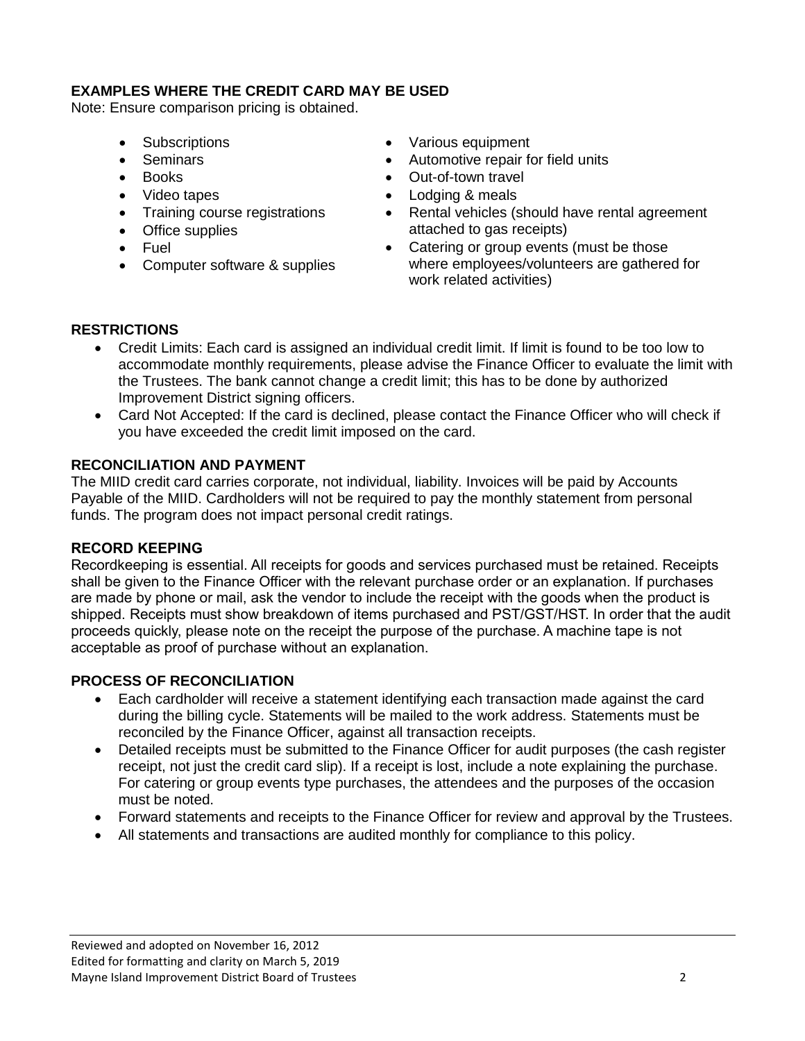### **EXAMPLES WHERE THE CREDIT CARD MAY BE USED**

Note: Ensure comparison pricing is obtained.

- Subscriptions
- Seminars
- Books
- Video tapes
- Training course registrations
- Office supplies
- Fuel
- Computer software & supplies
- Various equipment
- Automotive repair for field units
- Out-of-town travel
- Lodging & meals
- Rental vehicles (should have rental agreement attached to gas receipts)
- Catering or group events (must be those where employees/volunteers are gathered for work related activities)

#### **RESTRICTIONS**

- Credit Limits: Each card is assigned an individual credit limit. If limit is found to be too low to accommodate monthly requirements, please advise the Finance Officer to evaluate the limit with the Trustees. The bank cannot change a credit limit; this has to be done by authorized Improvement District signing officers.
- Card Not Accepted: If the card is declined, please contact the Finance Officer who will check if you have exceeded the credit limit imposed on the card.

#### **RECONCILIATION AND PAYMENT**

The MIID credit card carries corporate, not individual, liability. Invoices will be paid by Accounts Payable of the MIID. Cardholders will not be required to pay the monthly statement from personal funds. The program does not impact personal credit ratings.

#### **RECORD KEEPING**

Recordkeeping is essential. All receipts for goods and services purchased must be retained. Receipts shall be given to the Finance Officer with the relevant purchase order or an explanation. If purchases are made by phone or mail, ask the vendor to include the receipt with the goods when the product is shipped. Receipts must show breakdown of items purchased and PST/GST/HST. In order that the audit proceeds quickly, please note on the receipt the purpose of the purchase. A machine tape is not acceptable as proof of purchase without an explanation.

## **PROCESS OF RECONCILIATION**

- Each cardholder will receive a statement identifying each transaction made against the card during the billing cycle. Statements will be mailed to the work address. Statements must be reconciled by the Finance Officer, against all transaction receipts.
- Detailed receipts must be submitted to the Finance Officer for audit purposes (the cash register receipt, not just the credit card slip). If a receipt is lost, include a note explaining the purchase. For catering or group events type purchases, the attendees and the purposes of the occasion must be noted.
- Forward statements and receipts to the Finance Officer for review and approval by the Trustees.
- All statements and transactions are audited monthly for compliance to this policy.